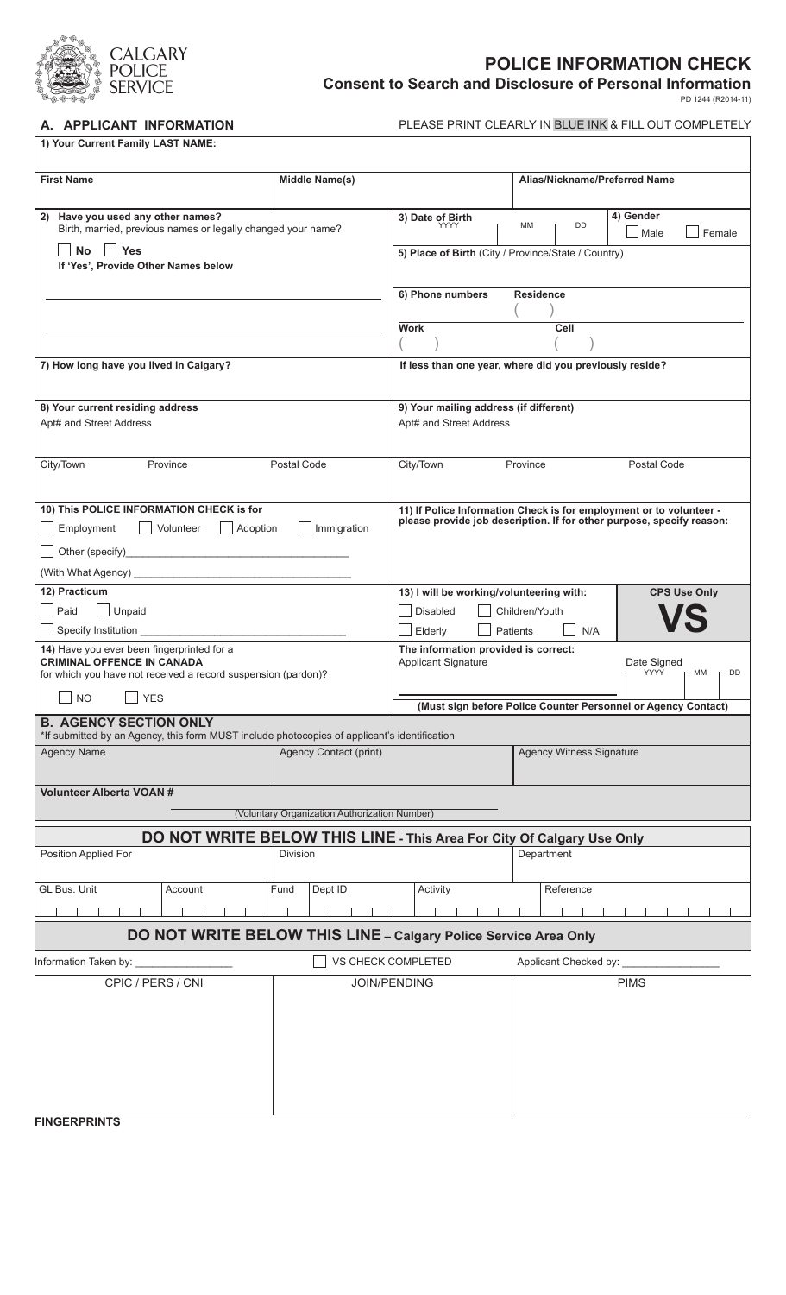

## **POLICE INFORMATION CHECK**

**Consent to Search and Disclosure of Personal Information** PD 1244 (R2014-11)

A. **APPLICANT INFORMATION** PLEASE PRINT CLEARLY IN BLUE INK & FILL OUT COMPLETELY

| 1) Your Current Family LAST NAME:                                                                                                                                                              |                                                                       |                                                                                                                                              |                                 |                                 |  |
|------------------------------------------------------------------------------------------------------------------------------------------------------------------------------------------------|-----------------------------------------------------------------------|----------------------------------------------------------------------------------------------------------------------------------------------|---------------------------------|---------------------------------|--|
| <b>First Name</b>                                                                                                                                                                              | <b>Middle Name(s)</b>                                                 |                                                                                                                                              | Alias/Nickname/Preferred Name   |                                 |  |
| Have you used any other names?<br>2)<br>Birth, married, previous names or legally changed your name?<br>∣ Yes<br>No<br>If 'Yes', Provide Other Names below                                     |                                                                       | 3) Date of Birth<br><b>YYYY</b><br>5) Place of Birth (City / Province/State / Country)                                                       | DD<br>MM                        | 4) Gender<br>Male<br>Female     |  |
|                                                                                                                                                                                                |                                                                       | 6) Phone numbers                                                                                                                             | <b>Residence</b>                |                                 |  |
|                                                                                                                                                                                                |                                                                       | <b>Work</b><br>Cell                                                                                                                          |                                 |                                 |  |
| 7) How long have you lived in Calgary?                                                                                                                                                         |                                                                       | If less than one year, where did you previously reside?                                                                                      |                                 |                                 |  |
| 8) Your current residing address<br>Apt# and Street Address                                                                                                                                    |                                                                       | 9) Your mailing address (if different)<br>Apt# and Street Address                                                                            |                                 |                                 |  |
| Province<br>Postal Code<br>City/Town                                                                                                                                                           |                                                                       | City/Town<br>Postal Code<br>Province                                                                                                         |                                 |                                 |  |
| 10) This POLICE INFORMATION CHECK is for<br>Employment<br>Volunteer<br>$\Box$ Adoption<br>Immigration                                                                                          |                                                                       | 11) If Police Information Check is for employment or to volunteer -<br>please provide job description. If for other purpose, specify reason: |                                 |                                 |  |
| 12) Practicum<br>Paid<br>Unpaid<br>$\mathcal{L}$                                                                                                                                               |                                                                       | 13) I will be working/volunteering with:<br><b>CPS Use Only</b><br><b>Disabled</b><br>Children/Youth<br>Elderly<br><b>Patients</b><br>N/A    |                                 |                                 |  |
| 14) Have you ever been fingerprinted for a<br><b>CRIMINAL OFFENCE IN CANADA</b><br>for which you have not received a record suspension (pardon)?<br><b>NO</b><br><b>YES</b>                    |                                                                       | The information provided is correct:<br>Applicant Signature                                                                                  |                                 | Date Signed<br>YYYY<br>MM<br>DD |  |
| (Must sign before Police Counter Personnel or Agency Contact)<br><b>B. AGENCY SECTION ONLY</b><br>*If submitted by an Agency, this form MUST include photocopies of applicant's identification |                                                                       |                                                                                                                                              |                                 |                                 |  |
| <b>Agency Name</b>                                                                                                                                                                             | Agency Contact (print)                                                |                                                                                                                                              | <b>Agency Witness Signature</b> |                                 |  |
| <b>Volunteer Alberta VOAN#</b><br>(Voluntary Organization Authorization Number)                                                                                                                |                                                                       |                                                                                                                                              |                                 |                                 |  |
|                                                                                                                                                                                                | DO NOT WRITE BELOW THIS LINE - This Area For City Of Calgary Use Only |                                                                                                                                              |                                 |                                 |  |
| Position Applied For                                                                                                                                                                           | Division                                                              |                                                                                                                                              | Department                      |                                 |  |
| GL Bus. Unit<br>Account                                                                                                                                                                        | Fund<br>Dept ID                                                       | Activity                                                                                                                                     | Reference                       |                                 |  |
| DO NOT WRITE BELOW THIS LINE - Calgary Police Service Area Only                                                                                                                                |                                                                       |                                                                                                                                              |                                 |                                 |  |
| Information Taken by:                                                                                                                                                                          |                                                                       | VS CHECK COMPLETED                                                                                                                           | Applicant Checked by:           |                                 |  |
| CPIC / PERS / CNI                                                                                                                                                                              |                                                                       | <b>JOIN/PENDING</b>                                                                                                                          |                                 | <b>PIMS</b>                     |  |
| <b>FINGERPRINTS</b>                                                                                                                                                                            |                                                                       |                                                                                                                                              |                                 |                                 |  |